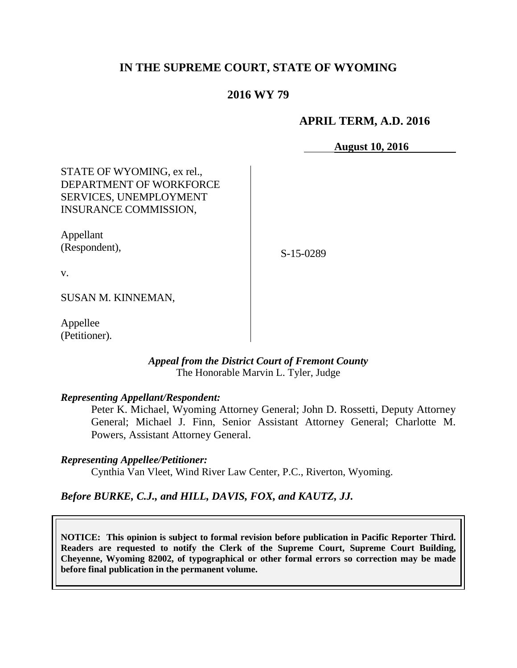# **IN THE SUPREME COURT, STATE OF WYOMING**

# **2016 WY 79**

## **APRIL TERM, A.D. 2016**

**August 10, 2016**

STATE OF WYOMING, ex rel., DEPARTMENT OF WORKFORCE SERVICES, UNEMPLOYMENT INSURANCE COMMISSION,

Appellant (Respondent),

S-15-0289

v.

SUSAN M. KINNEMAN,

Appellee (Petitioner).

#### *Appeal from the District Court of Fremont County* The Honorable Marvin L. Tyler, Judge

*Representing Appellant/Respondent:*

Peter K. Michael, Wyoming Attorney General; John D. Rossetti, Deputy Attorney General; Michael J. Finn, Senior Assistant Attorney General; Charlotte M. Powers, Assistant Attorney General.

*Representing Appellee/Petitioner:*

Cynthia Van Vleet, Wind River Law Center, P.C., Riverton, Wyoming.

#### *Before BURKE, C.J., and HILL, DAVIS, FOX, and KAUTZ, JJ.*

**NOTICE: This opinion is subject to formal revision before publication in Pacific Reporter Third. Readers are requested to notify the Clerk of the Supreme Court, Supreme Court Building, Cheyenne, Wyoming 82002, of typographical or other formal errors so correction may be made before final publication in the permanent volume.**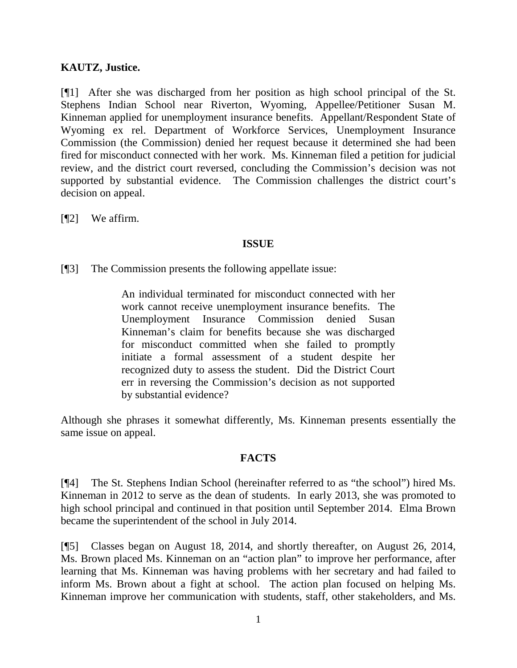## **KAUTZ, Justice.**

[¶1] After she was discharged from her position as high school principal of the St. Stephens Indian School near Riverton, Wyoming, Appellee/Petitioner Susan M. Kinneman applied for unemployment insurance benefits. Appellant/Respondent State of Wyoming ex rel. Department of Workforce Services, Unemployment Insurance Commission (the Commission) denied her request because it determined she had been fired for misconduct connected with her work. Ms. Kinneman filed a petition for judicial review, and the district court reversed, concluding the Commission's decision was not supported by substantial evidence. The Commission challenges the district court's decision on appeal.

[¶2] We affirm.

## **ISSUE**

[¶3] The Commission presents the following appellate issue:

An individual terminated for misconduct connected with her work cannot receive unemployment insurance benefits. The Unemployment Insurance Commission denied Susan Kinneman's claim for benefits because she was discharged for misconduct committed when she failed to promptly initiate a formal assessment of a student despite her recognized duty to assess the student. Did the District Court err in reversing the Commission's decision as not supported by substantial evidence?

Although she phrases it somewhat differently, Ms. Kinneman presents essentially the same issue on appeal.

# **FACTS**

[¶4] The St. Stephens Indian School (hereinafter referred to as "the school") hired Ms. Kinneman in 2012 to serve as the dean of students. In early 2013, she was promoted to high school principal and continued in that position until September 2014. Elma Brown became the superintendent of the school in July 2014.

[¶5] Classes began on August 18, 2014, and shortly thereafter, on August 26, 2014, Ms. Brown placed Ms. Kinneman on an "action plan" to improve her performance, after learning that Ms. Kinneman was having problems with her secretary and had failed to inform Ms. Brown about a fight at school. The action plan focused on helping Ms. Kinneman improve her communication with students, staff, other stakeholders, and Ms.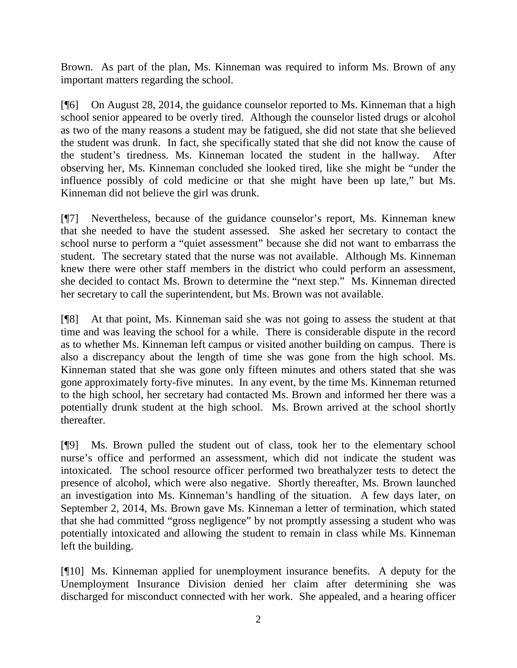Brown. As part of the plan, Ms. Kinneman was required to inform Ms. Brown of any important matters regarding the school.

[¶6] On August 28, 2014, the guidance counselor reported to Ms. Kinneman that a high school senior appeared to be overly tired. Although the counselor listed drugs or alcohol as two of the many reasons a student may be fatigued, she did not state that she believed the student was drunk. In fact, she specifically stated that she did not know the cause of the student's tiredness. Ms. Kinneman located the student in the hallway. After observing her, Ms. Kinneman concluded she looked tired, like she might be "under the influence possibly of cold medicine or that she might have been up late," but Ms. Kinneman did not believe the girl was drunk.

[¶7] Nevertheless, because of the guidance counselor's report, Ms. Kinneman knew that she needed to have the student assessed. She asked her secretary to contact the school nurse to perform a "quiet assessment" because she did not want to embarrass the student. The secretary stated that the nurse was not available. Although Ms. Kinneman knew there were other staff members in the district who could perform an assessment, she decided to contact Ms. Brown to determine the "next step." Ms. Kinneman directed her secretary to call the superintendent, but Ms. Brown was not available.

[¶8] At that point, Ms. Kinneman said she was not going to assess the student at that time and was leaving the school for a while. There is considerable dispute in the record as to whether Ms. Kinneman left campus or visited another building on campus. There is also a discrepancy about the length of time she was gone from the high school. Ms. Kinneman stated that she was gone only fifteen minutes and others stated that she was gone approximately forty-five minutes. In any event, by the time Ms. Kinneman returned to the high school, her secretary had contacted Ms. Brown and informed her there was a potentially drunk student at the high school. Ms. Brown arrived at the school shortly thereafter.

[¶9] Ms. Brown pulled the student out of class, took her to the elementary school nurse's office and performed an assessment, which did not indicate the student was intoxicated. The school resource officer performed two breathalyzer tests to detect the presence of alcohol, which were also negative. Shortly thereafter, Ms. Brown launched an investigation into Ms. Kinneman's handling of the situation. A few days later, on September 2, 2014, Ms. Brown gave Ms. Kinneman a letter of termination, which stated that she had committed "gross negligence" by not promptly assessing a student who was potentially intoxicated and allowing the student to remain in class while Ms. Kinneman left the building.

[¶10] Ms. Kinneman applied for unemployment insurance benefits. A deputy for the Unemployment Insurance Division denied her claim after determining she was discharged for misconduct connected with her work. She appealed, and a hearing officer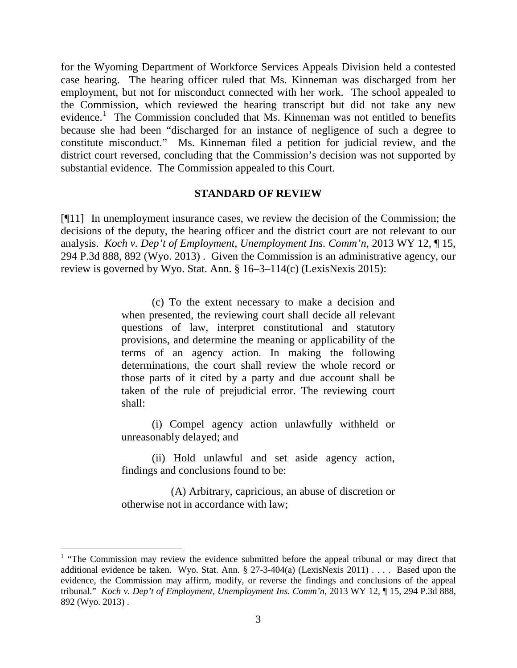for the Wyoming Department of Workforce Services Appeals Division held a contested case hearing. The hearing officer ruled that Ms. Kinneman was discharged from her employment, but not for misconduct connected with her work. The school appealed to the Commission, which reviewed the hearing transcript but did not take any new evidence.<sup>[1](#page-3-0)</sup> The Commission concluded that Ms. Kinneman was not entitled to benefits because she had been "discharged for an instance of negligence of such a degree to constitute misconduct." Ms. Kinneman filed a petition for judicial review, and the district court reversed, concluding that the Commission's decision was not supported by substantial evidence. The Commission appealed to this Court.

#### **STANDARD OF REVIEW**

[¶11] In unemployment insurance cases, we review the decision of the Commission; the decisions of the deputy, the hearing officer and the district court are not relevant to our analysis. *[Koch v. Dep't of Employment, Unemployment Ins. Comm'n,](http://www.westlaw.com/Link/Document/FullText?findType=Y&serNum=2029773359&pubNum=4645&originatingDoc=Ie3519523cddc11e2a160cacff148223f&refType=RP&fi=co_pp_sp_4645_892&originationContext=document&vr=3.0&rs=cblt1.0&transitionType=DocumentItem&contextData=(sc.Search)#co_pp_sp_4645_892)* 2013 WY 12, ¶ 15, [294 P.3d 888, 892 \(Wyo. 2013\)](http://www.westlaw.com/Link/Document/FullText?findType=Y&serNum=2029773359&pubNum=4645&originatingDoc=Ie3519523cddc11e2a160cacff148223f&refType=RP&fi=co_pp_sp_4645_892&originationContext=document&vr=3.0&rs=cblt1.0&transitionType=DocumentItem&contextData=(sc.Search)#co_pp_sp_4645_892) . Given the Commission is an administrative agency, our review is governed by [Wyo. Stat. Ann. § 16–3–114\(c\)](http://www.westlaw.com/Link/Document/FullText?findType=L&pubNum=1000377&cite=WYSTS16-3-114&originatingDoc=Ie3519523cddc11e2a160cacff148223f&refType=SP&originationContext=document&vr=3.0&rs=cblt1.0&transitionType=DocumentItem&contextData=(sc.Search)#co_pp_4b24000003ba5) (LexisNexis 2015):

> (c) To the extent necessary to make a decision and when presented, the reviewing court shall decide all relevant questions of law, interpret constitutional and statutory provisions, and determine the meaning or applicability of the terms of an agency action. In making the following determinations, the court shall review the whole record or those parts of it cited by a party and due account shall be taken of the rule of prejudicial error. The reviewing court shall:

> (i) Compel agency action unlawfully withheld or unreasonably delayed; and

> (ii) Hold unlawful and set aside agency action, findings and conclusions found to be:

> (A) Arbitrary, capricious, an abuse of discretion or otherwise not in accordance with law;

<span id="page-3-0"></span><sup>&</sup>lt;sup>1</sup> "The Commission may review the evidence submitted before the appeal tribunal or may direct that additional evidence be taken. Wyo. Stat. Ann. § 27-3-404(a) (LexisNexis 2011) . . . . Based upon the evidence, the Commission may affirm, modify, or reverse the findings and conclusions of the appeal tribunal." *[Koch v. Dep't of Employment, Unemployment Ins. Comm'n,](http://www.westlaw.com/Link/Document/FullText?findType=Y&serNum=2029773359&pubNum=4645&originatingDoc=Ie3519523cddc11e2a160cacff148223f&refType=RP&fi=co_pp_sp_4645_892&originationContext=document&vr=3.0&rs=cblt1.0&transitionType=DocumentItem&contextData=(sc.Search)#co_pp_sp_4645_892)* 2013 WY 12, ¶ 15, 294 P.3d 888, [892 \(Wyo. 2013\)](http://www.westlaw.com/Link/Document/FullText?findType=Y&serNum=2029773359&pubNum=4645&originatingDoc=Ie3519523cddc11e2a160cacff148223f&refType=RP&fi=co_pp_sp_4645_892&originationContext=document&vr=3.0&rs=cblt1.0&transitionType=DocumentItem&contextData=(sc.Search)#co_pp_sp_4645_892) .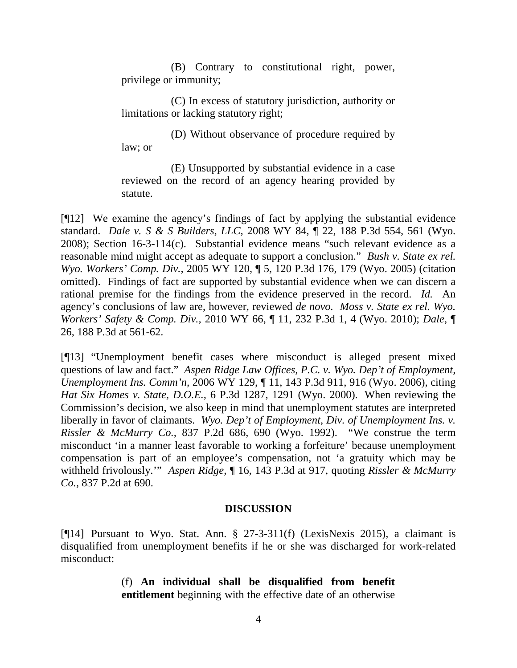(B) Contrary to constitutional right, power, privilege or immunity;

(C) In excess of statutory jurisdiction, authority or limitations or lacking statutory right;

(D) Without observance of procedure required by law; or

(E) Unsupported by substantial evidence in a case reviewed on the record of an agency hearing provided by statute.

[¶12] We examine the agency's findings of fact by applying the substantial evidence standard. *Dale v. S & S Builders, LLC,* [2008 WY 84, ¶ 22, 188 P.3d 554, 561 \(Wyo.](http://www.westlaw.com/Link/Document/FullText?findType=Y&serNum=2016551348&pubNum=4645&originatingDoc=Ie3519523cddc11e2a160cacff148223f&refType=RP&fi=co_pp_sp_4645_561&originationContext=document&vr=3.0&rs=cblt1.0&transitionType=DocumentItem&contextData=(sc.Search)#co_pp_sp_4645_561)  [2008\); Section](http://www.westlaw.com/Link/Document/FullText?findType=Y&serNum=2016551348&pubNum=4645&originatingDoc=Ie3519523cddc11e2a160cacff148223f&refType=RP&fi=co_pp_sp_4645_561&originationContext=document&vr=3.0&rs=cblt1.0&transitionType=DocumentItem&contextData=(sc.Search)#co_pp_sp_4645_561) [16-3-114\(c\).](http://www.westlaw.com/Link/Document/FullText?findType=Y&serNum=2016551348&pubNum=4645&originatingDoc=Ie3519523cddc11e2a160cacff148223f&refType=RP&fi=co_pp_sp_4645_561&originationContext=document&vr=3.0&rs=cblt1.0&transitionType=DocumentItem&contextData=(sc.Search)#co_pp_sp_4645_561) Substantial evidence means "such relevant evidence as a reasonable mind might accept as adequate to support a conclusion." *[Bush v. State ex rel.](http://www.westlaw.com/Link/Document/FullText?findType=Y&serNum=2007313036&pubNum=4645&originatingDoc=Ie3519523cddc11e2a160cacff148223f&refType=RP&fi=co_pp_sp_4645_179&originationContext=document&vr=3.0&rs=cblt1.0&transitionType=DocumentItem&contextData=(sc.Search)#co_pp_sp_4645_179)  Wyo. Workers' Comp. Div.,* [2005 WY 120, ¶ 5, 120 P.3d 176, 179](http://www.westlaw.com/Link/Document/FullText?findType=Y&serNum=2007313036&pubNum=4645&originatingDoc=Ie3519523cddc11e2a160cacff148223f&refType=RP&fi=co_pp_sp_4645_179&originationContext=document&vr=3.0&rs=cblt1.0&transitionType=DocumentItem&contextData=(sc.Search)#co_pp_sp_4645_179) (Wyo. 2005) (citation omitted). Findings of fact are supported by substantial evidence when we can discern a rational premise for the findings from the evidence preserved in the record. *[Id.](http://www.westlaw.com/Link/Document/FullText?findType=Y&serNum=2007313036&originatingDoc=Ie3519523cddc11e2a160cacff148223f&refType=RP&originationContext=document&vr=3.0&rs=cblt1.0&transitionType=DocumentItem&contextData=(sc.Search))* An agency's conclusions of law are, however, reviewed *de novo. [Moss v. State ex rel. Wyo.](http://www.westlaw.com/Link/Document/FullText?findType=Y&serNum=2022129066&pubNum=4645&originatingDoc=Ie3519523cddc11e2a160cacff148223f&refType=RP&fi=co_pp_sp_4645_4&originationContext=document&vr=3.0&rs=cblt1.0&transitionType=DocumentItem&contextData=(sc.Search)#co_pp_sp_4645_4)  Workers' Safety & Comp. Div.,* [2010 WY 66, ¶ 11, 232 P.3d 1, 4 \(Wyo. 2010\);](http://www.westlaw.com/Link/Document/FullText?findType=Y&serNum=2022129066&pubNum=4645&originatingDoc=Ie3519523cddc11e2a160cacff148223f&refType=RP&fi=co_pp_sp_4645_4&originationContext=document&vr=3.0&rs=cblt1.0&transitionType=DocumentItem&contextData=(sc.Search)#co_pp_sp_4645_4) *[Dale,](http://www.westlaw.com/Link/Document/FullText?findType=Y&serNum=2016551348&pubNum=4645&originatingDoc=Ie3519523cddc11e2a160cacff148223f&refType=RP&fi=co_pp_sp_4645_561&originationContext=document&vr=3.0&rs=cblt1.0&transitionType=DocumentItem&contextData=(sc.Search)#co_pp_sp_4645_561)* ¶ [26, 188 P.3d at 561-62.](http://www.westlaw.com/Link/Document/FullText?findType=Y&serNum=2016551348&pubNum=4645&originatingDoc=Ie3519523cddc11e2a160cacff148223f&refType=RP&fi=co_pp_sp_4645_561&originationContext=document&vr=3.0&rs=cblt1.0&transitionType=DocumentItem&contextData=(sc.Search)#co_pp_sp_4645_561)

[¶13] "Unemployment benefit cases where misconduct is alleged present mixed questions of law and fact." *Aspen Ridge Law Offices, P.C. v. Wyo. Dep't of Employment, Unemployment Ins. Comm'n,* 2006 WY 129, ¶ 11, 143 P.3d 911, 916 (Wyo. 2006), citing *Hat Six Homes v. State, D.O.E.,* [6 P.3d 1287, 1291 \(Wyo. 2000\).](http://www.westlaw.com/Link/Document/FullText?findType=Y&serNum=2000394667&pubNum=4645&originatingDoc=I68e3d5af5ad411dbb381a049c832f3c9&refType=RP&fi=co_pp_sp_4645_1291&originationContext=document&vr=3.0&rs=cblt1.0&transitionType=DocumentItem&contextData=(sc.Search)#co_pp_sp_4645_1291) When reviewing the Commission's decision, we also keep in mind that unemployment statutes are interpreted liberally in favor of claimants. *Wyo. Dep't of Employment, Div. of Unemployment Ins. v. Rissler & McMurry Co.,* 837 P.2d 686, 690 (Wyo. 1992). "We construe the term misconduct 'in a manner least favorable to working a forfeiture' because unemployment compensation is part of an employee's compensation, not 'a gratuity which may be withheld frivolously.'" *Aspen Ridge,* ¶ 16, 143 P.3d at 917, quoting *Rissler & McMurry Co.,* 837 P.2d at 690.

# **DISCUSSION**

[¶14] Pursuant to [Wyo. Stat. Ann. § 27-3-311\(f\)](http://www.westlaw.com/Link/Document/FullText?findType=L&pubNum=1000377&cite=WYSTS27-3-311&originatingDoc=Ie3519523cddc11e2a160cacff148223f&refType=SP&originationContext=document&vr=3.0&rs=cblt1.0&transitionType=DocumentItem&contextData=(sc.Search)#co_pp_ae0d0000c5150) (LexisNexis 2015), a claimant is disqualified from unemployment benefits if he or she was discharged for work-related misconduct:

> (f) **An individual shall be disqualified from benefit entitlement** beginning with the effective date of an otherwise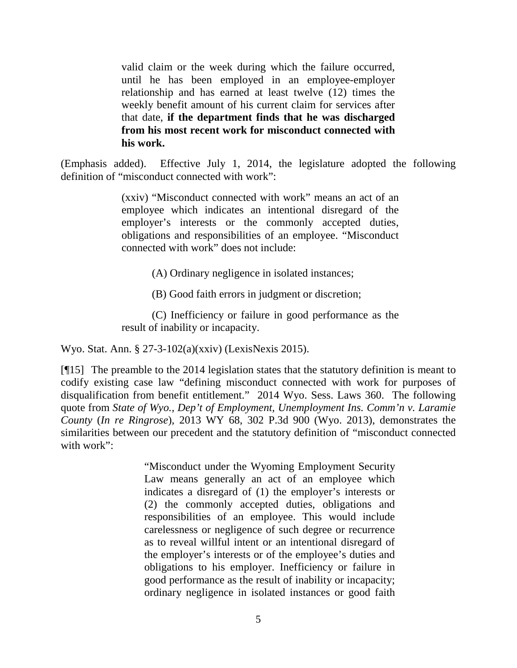valid claim or the week during which the failure occurred, until he has been employed in an employee-employer relationship and has earned at least twelve (12) times the weekly benefit amount of his current claim for services after that date, **if the department finds that he was discharged from his most recent work for misconduct connected with his work.**

(Emphasis added). Effective July 1, 2014, the legislature adopted the following definition of "misconduct connected with work":

> (xxiv) "Misconduct connected with work" means an act of an employee which indicates an intentional disregard of the employer's interests or the commonly accepted duties, obligations and responsibilities of an employee. "Misconduct connected with work" does not include:

> > (A) Ordinary negligence in isolated instances;

(B) Good faith errors in judgment or discretion;

(C) Inefficiency or failure in good performance as the result of inability or incapacity.

Wyo. Stat. Ann. § 27-3-102(a)(xxiv) (LexisNexis 2015).

[¶15] The preamble to the 2014 legislation states that the statutory definition is meant to codify existing case law "defining misconduct connected with work for purposes of disqualification from benefit entitlement." 2014 Wyo. Sess. Laws 360. The following quote from *State of Wyo., Dep't of Employment, Unemployment Ins. Comm'n v. Laramie County* (*In re Ringrose*)*,* 2013 WY 68, 302 P.3d 900 (Wyo. 2013), demonstrates the similarities between our precedent and the statutory definition of "misconduct connected with work":

> "Misconduct under the Wyoming Employment Security Law means generally an act of an employee which indicates a disregard of (1) the employer's interests or (2) the commonly accepted duties, obligations and responsibilities of an employee. This would include carelessness or negligence of such degree or recurrence as to reveal willful intent or an intentional disregard of the employer's interests or of the employee's duties and obligations to his employer. Inefficiency or failure in good performance as the result of inability or incapacity; ordinary negligence in isolated instances or good faith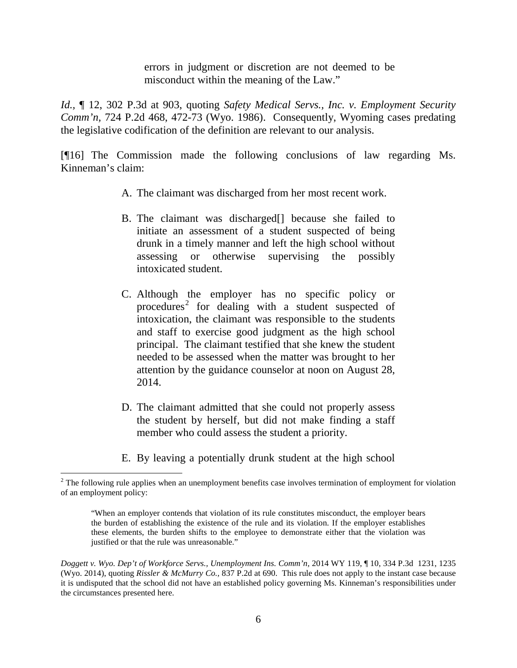errors in judgment or discretion are not deemed to be misconduct within the meaning of the Law."

*Id.,* ¶ 12, 302 P.3d at 903, quoting *[Safety Medical Servs., Inc. v. Employment Security](http://www.westlaw.com/Link/Document/FullText?findType=Y&serNum=1986145249&pubNum=661&originatingDoc=Ie3519523cddc11e2a160cacff148223f&refType=RP&fi=co_pp_sp_661_472&originationContext=document&vr=3.0&rs=cblt1.0&transitionType=DocumentItem&contextData=(sc.Search)#co_pp_sp_661_472)  Comm'n,* [724 P.2d 468, 472-73 \(Wyo. 1986\).](http://www.westlaw.com/Link/Document/FullText?findType=Y&serNum=1986145249&pubNum=661&originatingDoc=Ie3519523cddc11e2a160cacff148223f&refType=RP&fi=co_pp_sp_661_472&originationContext=document&vr=3.0&rs=cblt1.0&transitionType=DocumentItem&contextData=(sc.Search)#co_pp_sp_661_472) Consequently, Wyoming cases predating the legislative codification of the definition are relevant to our analysis.

[¶16] The Commission made the following conclusions of law regarding Ms. Kinneman's claim:

- A. The claimant was discharged from her most recent work.
- B. The claimant was discharged[] because she failed to initiate an assessment of a student suspected of being drunk in a timely manner and left the high school without assessing or otherwise supervising the possibly intoxicated student.
- C. Although the employer has no specific policy or procedures<sup>[2](#page-6-0)</sup> for dealing with a student suspected of intoxication, the claimant was responsible to the students and staff to exercise good judgment as the high school principal. The claimant testified that she knew the student needed to be assessed when the matter was brought to her attention by the guidance counselor at noon on August 28, 2014.
- D. The claimant admitted that she could not properly assess the student by herself, but did not make finding a staff member who could assess the student a priority.
- E. By leaving a potentially drunk student at the high school

<span id="page-6-0"></span><sup>&</sup>lt;sup>2</sup> The following rule applies when an unemployment benefits case involves termination of employment for violation of an employment policy:

<sup>&</sup>quot;When an employer contends that violation of its rule constitutes misconduct, the employer bears the burden of establishing the existence of the rule and its violation. If the employer establishes these elements, the burden shifts to the employee to demonstrate either that the violation was justified or that the rule was unreasonable."

*Doggett v. Wyo. Dep't of Workforce Servs., Unemployment Ins. Comm'n,* 2014 WY 119, ¶ 10, 334 P.3d 1231, 1235 (Wyo. 2014), quoting *[Rissler & McMurry Co.,](http://www.westlaw.com/Link/Document/FullText?findType=Y&serNum=1992160102&pubNum=0000661&originatingDoc=I314ac99e440f11e4a795ac035416da91&refType=RP&fi=co_pp_sp_661_690&originationContext=document&vr=3.0&rs=cblt1.0&transitionType=DocumentItem&contextData=(sc.Search)#co_pp_sp_661_690)* 837 P.2d at 690. This rule does not apply to the instant case because it is undisputed that the school did not have an established policy governing Ms. Kinneman's responsibilities under the circumstances presented here.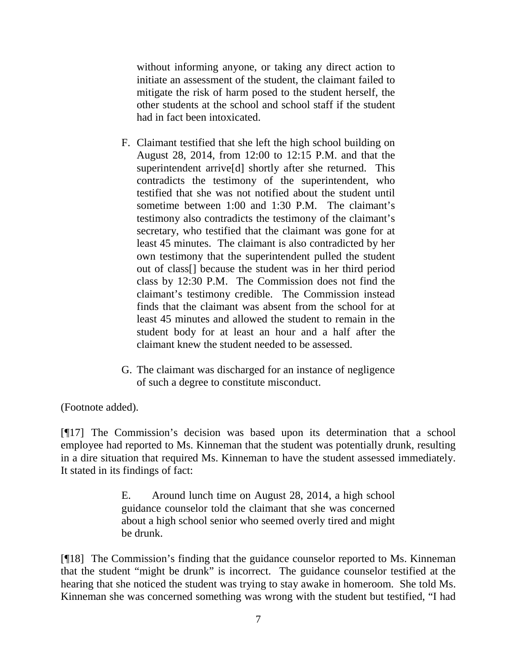without informing anyone, or taking any direct action to initiate an assessment of the student, the claimant failed to mitigate the risk of harm posed to the student herself, the other students at the school and school staff if the student had in fact been intoxicated.

- F. Claimant testified that she left the high school building on August 28, 2014, from 12:00 to 12:15 P.M. and that the superintendent arrive[d] shortly after she returned. This contradicts the testimony of the superintendent, who testified that she was not notified about the student until sometime between 1:00 and 1:30 P.M. The claimant's testimony also contradicts the testimony of the claimant's secretary, who testified that the claimant was gone for at least 45 minutes. The claimant is also contradicted by her own testimony that the superintendent pulled the student out of class[] because the student was in her third period class by 12:30 P.M. The Commission does not find the claimant's testimony credible. The Commission instead finds that the claimant was absent from the school for at least 45 minutes and allowed the student to remain in the student body for at least an hour and a half after the claimant knew the student needed to be assessed.
- G. The claimant was discharged for an instance of negligence of such a degree to constitute misconduct.

(Footnote added).

[¶17] The Commission's decision was based upon its determination that a school employee had reported to Ms. Kinneman that the student was potentially drunk, resulting in a dire situation that required Ms. Kinneman to have the student assessed immediately. It stated in its findings of fact:

> E. Around lunch time on August 28, 2014, a high school guidance counselor told the claimant that she was concerned about a high school senior who seemed overly tired and might be drunk.

[¶18] The Commission's finding that the guidance counselor reported to Ms. Kinneman that the student "might be drunk" is incorrect. The guidance counselor testified at the hearing that she noticed the student was trying to stay awake in homeroom. She told Ms. Kinneman she was concerned something was wrong with the student but testified, "I had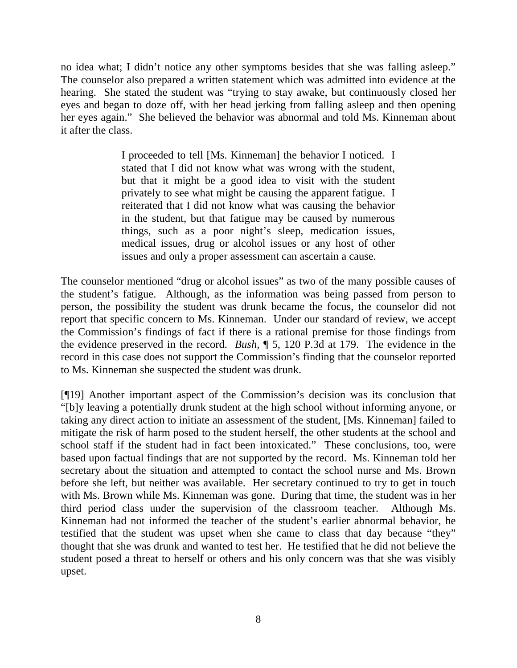no idea what; I didn't notice any other symptoms besides that she was falling asleep." The counselor also prepared a written statement which was admitted into evidence at the hearing. She stated the student was "trying to stay awake, but continuously closed her eyes and began to doze off, with her head jerking from falling asleep and then opening her eyes again." She believed the behavior was abnormal and told Ms. Kinneman about it after the class.

> I proceeded to tell [Ms. Kinneman] the behavior I noticed. I stated that I did not know what was wrong with the student, but that it might be a good idea to visit with the student privately to see what might be causing the apparent fatigue. I reiterated that I did not know what was causing the behavior in the student, but that fatigue may be caused by numerous things, such as a poor night's sleep, medication issues, medical issues, drug or alcohol issues or any host of other issues and only a proper assessment can ascertain a cause.

The counselor mentioned "drug or alcohol issues" as two of the many possible causes of the student's fatigue. Although, as the information was being passed from person to person, the possibility the student was drunk became the focus, the counselor did not report that specific concern to Ms. Kinneman. Under our standard of review, we accept the Commission's findings of fact if there is a rational premise for those findings from the evidence preserved in the record. *Bush,* ¶ 5, 120 P.3d at 179. The evidence in the record in this case does not support the Commission's finding that the counselor reported to Ms. Kinneman she suspected the student was drunk.

[¶19] Another important aspect of the Commission's decision was its conclusion that "[b]y leaving a potentially drunk student at the high school without informing anyone, or taking any direct action to initiate an assessment of the student, [Ms. Kinneman] failed to mitigate the risk of harm posed to the student herself, the other students at the school and school staff if the student had in fact been intoxicated." These conclusions, too, were based upon factual findings that are not supported by the record. Ms. Kinneman told her secretary about the situation and attempted to contact the school nurse and Ms. Brown before she left, but neither was available. Her secretary continued to try to get in touch with Ms. Brown while Ms. Kinneman was gone. During that time, the student was in her third period class under the supervision of the classroom teacher. Although Ms. Kinneman had not informed the teacher of the student's earlier abnormal behavior, he testified that the student was upset when she came to class that day because "they" thought that she was drunk and wanted to test her. He testified that he did not believe the student posed a threat to herself or others and his only concern was that she was visibly upset.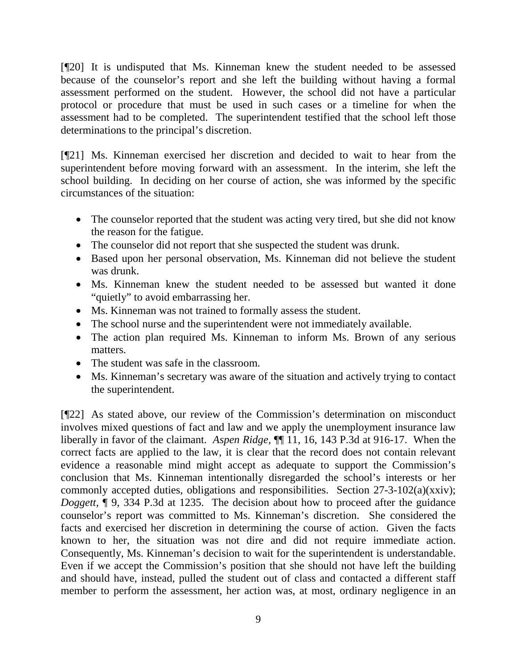[¶20] It is undisputed that Ms. Kinneman knew the student needed to be assessed because of the counselor's report and she left the building without having a formal assessment performed on the student. However, the school did not have a particular protocol or procedure that must be used in such cases or a timeline for when the assessment had to be completed. The superintendent testified that the school left those determinations to the principal's discretion.

[¶21] Ms. Kinneman exercised her discretion and decided to wait to hear from the superintendent before moving forward with an assessment. In the interim, she left the school building. In deciding on her course of action, she was informed by the specific circumstances of the situation:

- The counselor reported that the student was acting very tired, but she did not know the reason for the fatigue.
- The counselor did not report that she suspected the student was drunk.
- Based upon her personal observation, Ms. Kinneman did not believe the student was drunk.
- Ms. Kinneman knew the student needed to be assessed but wanted it done "quietly" to avoid embarrassing her.
- Ms. Kinneman was not trained to formally assess the student.
- The school nurse and the superintendent were not immediately available.
- The action plan required Ms. Kinneman to inform Ms. Brown of any serious matters.
- The student was safe in the classroom.
- Ms. Kinneman's secretary was aware of the situation and actively trying to contact the superintendent.

[¶22] As stated above, our review of the Commission's determination on misconduct involves mixed questions of fact and law and we apply the unemployment insurance law liberally in favor of the claimant. *Aspen Ridge,* ¶¶ 11, 16, 143 P.3d at 916-17. When the correct facts are applied to the law, it is clear that the record does not contain relevant evidence a reasonable mind might accept as adequate to support the Commission's conclusion that Ms. Kinneman intentionally disregarded the school's interests or her commonly accepted duties, obligations and responsibilities. Section 27-3-102(a)(xxiv); *Doggett*, **¶** 9, 334 P.3d at 1235. The decision about how to proceed after the guidance counselor's report was committed to Ms. Kinneman's discretion. She considered the facts and exercised her discretion in determining the course of action. Given the facts known to her, the situation was not dire and did not require immediate action. Consequently, Ms. Kinneman's decision to wait for the superintendent is understandable. Even if we accept the Commission's position that she should not have left the building and should have, instead, pulled the student out of class and contacted a different staff member to perform the assessment, her action was, at most, ordinary negligence in an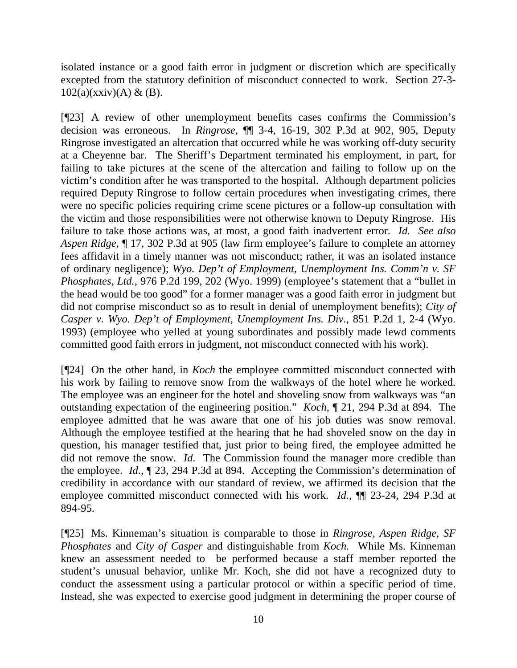isolated instance or a good faith error in judgment or discretion which are specifically excepted from the statutory definition of misconduct connected to work. Section 27-3-  $102(a)(xxiv)(A) \& (B).$ 

[¶23] A review of other unemployment benefits cases confirms the Commission's decision was erroneous. In *Ringrose,* ¶¶ 3-4, 16-19, 302 P.3d at 902, 905, Deputy Ringrose investigated an altercation that occurred while he was working off-duty security at a Cheyenne bar. The Sheriff's Department terminated his employment, in part, for failing to take pictures at the scene of the altercation and failing to follow up on the victim's condition after he was transported to the hospital. Although department policies required Deputy Ringrose to follow certain procedures when investigating crimes, there were no specific policies requiring crime scene pictures or a follow-up consultation with the victim and those responsibilities were not otherwise known to Deputy Ringrose. His failure to take those actions was, at most, a good faith inadvertent error. *Id. See also Aspen Ridge,* ¶ 17, 302 P.3d at 905 (law firm employee's failure to complete an attorney fees affidavit in a timely manner was not misconduct; rather, it was an isolated instance of ordinary negligence); *Wyo. Dep't of Employment, Unemployment Ins. Comm'n v. SF Phosphates, Ltd.,* 976 P.2d 199, 202 (Wyo. 1999) (employee's statement that a "bullet in the head would be too good" for a former manager was a good faith error in judgment but did not comprise misconduct so as to result in denial of unemployment benefits); *City of Casper v. Wyo. Dep't of Employment, Unemployment Ins. Div.,* 851 P.2d 1, 2-4 (Wyo. 1993) (employee who yelled at young subordinates and possibly made lewd comments committed good faith errors in judgment, not misconduct connected with his work).

[¶24] On the other hand, in *Koch* the employee committed misconduct connected with his work by failing to remove snow from the walkways of the hotel where he worked. The employee was an engineer for the hotel and shoveling snow from walkways was "an outstanding expectation of the engineering position." *Koch,* ¶ 21, 294 P.3d at 894. The employee admitted that he was aware that one of his job duties was snow removal. Although the employee testified at the hearing that he had shoveled snow on the day in question, his manager testified that, just prior to being fired, the employee admitted he did not remove the snow. *Id.* The Commission found the manager more credible than the employee. *Id*., ¶ 23, 294 P.3d at 894. Accepting the Commission's determination of credibility in accordance with our standard of review, we affirmed its decision that the employee committed misconduct connected with his work. *Id.,* ¶¶ 23-24, 294 P.3d at 894-95.

[¶25] Ms. Kinneman's situation is comparable to those in *Ringrose, Aspen Ridge, SF Phosphates* and *City of Casper* and distinguishable from *Koch.* While Ms. Kinneman knew an assessment needed to be performed because a staff member reported the student's unusual behavior, unlike Mr. Koch, she did not have a recognized duty to conduct the assessment using a particular protocol or within a specific period of time. Instead, she was expected to exercise good judgment in determining the proper course of